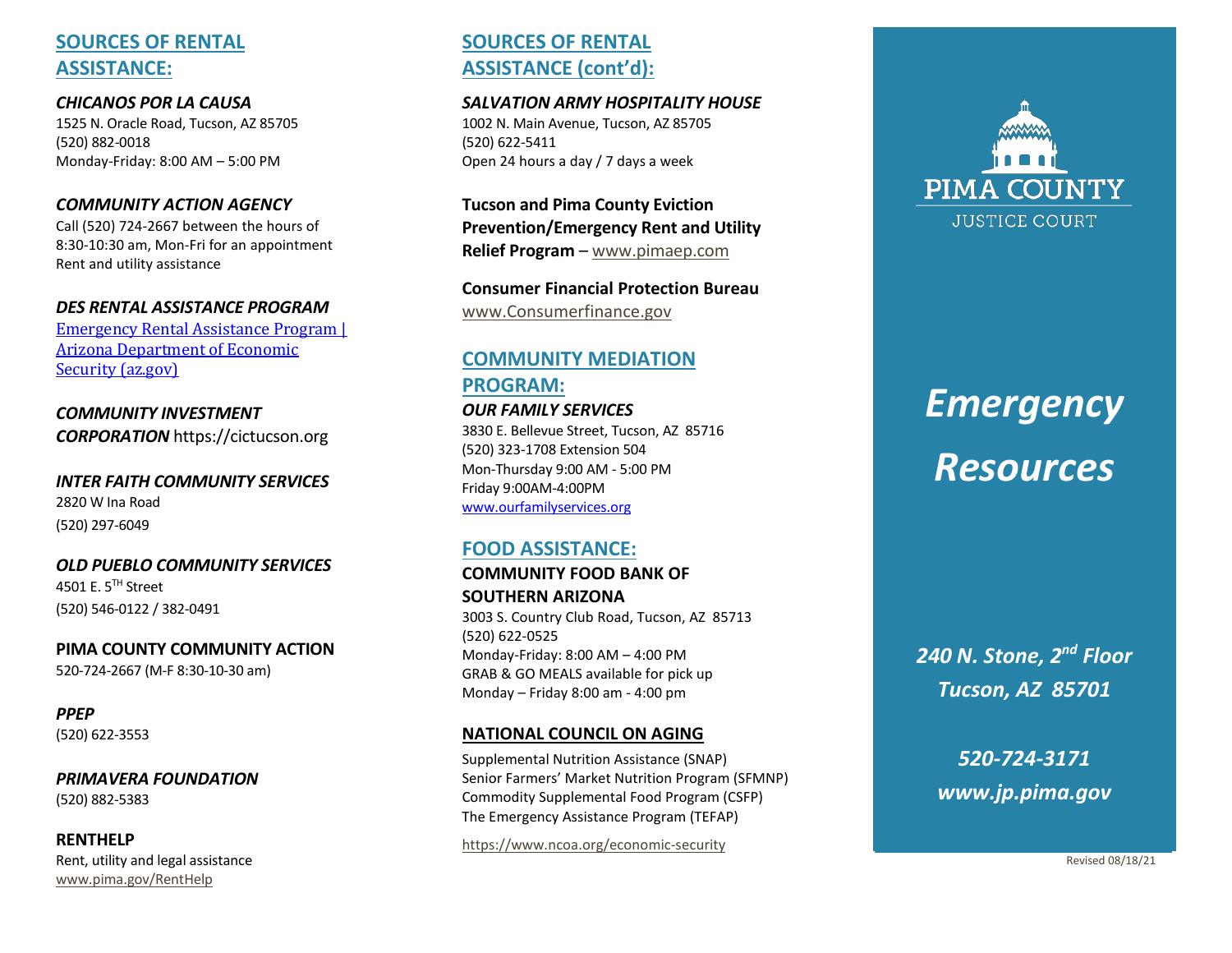# **SOURCES OF RENTAL ASSISTANCE:**

*CHICANOS POR LA CAUSA* 1525 N. Oracle Road, Tucson, AZ 85705 (520) 882 -0018 Monday -Friday: 8:00 AM – 5:00 PM

#### *COMMUNITY ACTION AGENCY*

Call (520) 724 -2667 between the hours of 8:30 -10:30 am, Mon -Fri for an appointment Rent and utility assistance

#### *DES RENTAL ASSISTANCE PROGRAM*

[Emergency Rental Assistance Program |](https://des.az.gov/ERAP)  [Arizona Department of Economic](https://des.az.gov/ERAP)  [Security \(az.gov\)](https://des.az.gov/ERAP)

*COMMUNITY INVESTMENT CORPORATION* https://cictucson.org

*INTER FAITH COMMUNITY SERVICES* 2820 W Ina Road (520) 297 -6049

*OLD PUEBLO COMMUNITY SERVICES* 4501 E. 5TH Street (520) 546 -0122 / 382 -0491

**PIMA COUNTY COMMUNITY ACTION** 520-724-2667 (M-F 8:30-10-30 am)

*PPEP* (520) 622 -3553

*PRIMAVERA FOUNDATION* (520) 882 -5383

**RENTHELP**  Rent, utility and legal assistance [www.pima.gov/RentHelp](http://www.pima.gov/RentHelp)

# **SOURCES OF RENTAL ASSISTANCE (cont'd):**

#### *SALVATION ARMY HOSPITALITY HOUSE*

1002 N. Main Avenue, Tucson, AZ 85705 (520) 622 -5411 Open 24 hours a day / 7 days a week

**Tucson and Pima County Eviction Prevention/Emergency Rent and Utility Relief Program**  – [www.pimaep.com](http://www.pimaep.com/)

**Consumer Financial Protection Bureau** [www.Consumerfinance.gov](http://www.consumerfinance.gov/)

# **COMMUNITY MEDIATION PROGRAM:**

*OUR FAMILY SERVICES* 3830 E. Bellevue Street, Tucson, AZ 85716 (520) 323 -1708 Extension 504 Mon -Thurs day 9:00 AM - 5:00 PM Friday 9:00AM -4:00PM [www.ourfamilyservices.org](http://www.ourfamilyservices.org/)

## **FOOD ASSISTANCE:**

**COMMUNITY FOOD BANK OF SOUTHERN ARIZONA** 3003 S. Country Club Road, Tucson, AZ 85713 (520) 622 -0525 Monday -Friday: 8:00 AM – 4:00 PM GRAB & GO MEALS available for pick up Monday – Friday 8:00 am - 4:00 pm

#### **NATIONAL COUNCIL ON AGING**

Supplemental Nutrition Assistance (SNAP) Senior Farmers' Market Nutrition Program (SFMNP) Commodity Supplemental Food Program (CSFP) The Emergency Assistance Program (TEFAP)

[https://www.ncoa.org/economic](https://www.ncoa.org/economic-security) -security



# *Emergency Resources*

*240 N. Stone, 2nd Floor Tucson, AZ 85701*

*520 -724 -3171 www.jp.pima.gov*